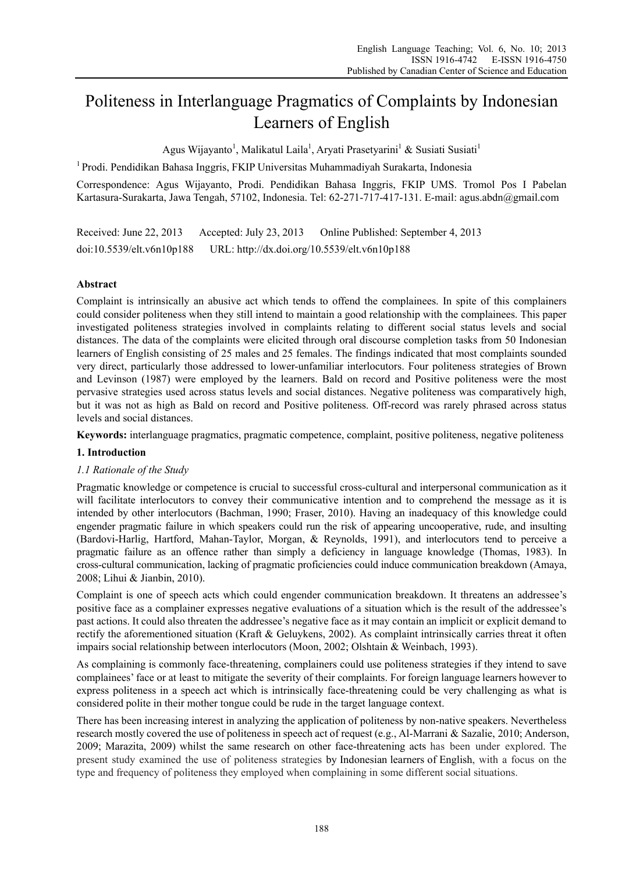# Politeness in Interlanguage Pragmatics of Complaints by Indonesian Learners of English

Agus Wijayanto<sup>1</sup>, Malikatul Laila<sup>1</sup>, Aryati Prasetyarini<sup>1</sup> & Susiati Susiati<sup>1</sup>

1 Prodi. Pendidikan Bahasa Inggris, FKIP Universitas Muhammadiyah Surakarta, Indonesia

Correspondence: Agus Wijayanto, Prodi. Pendidikan Bahasa Inggris, FKIP UMS. Tromol Pos I Pabelan Kartasura-Surakarta, Jawa Tengah, 57102, Indonesia. Tel: 62-271-717-417-131. E-mail: agus.abdn@gmail.com

Received: June 22, 2013 Accepted: July 23, 2013 Online Published: September 4, 2013 doi:10.5539/elt.v6n10p188 URL: http://dx.doi.org/10.5539/elt.v6n10p188

# **Abstract**

Complaint is intrinsically an abusive act which tends to offend the complainees. In spite of this complainers could consider politeness when they still intend to maintain a good relationship with the complainees. This paper investigated politeness strategies involved in complaints relating to different social status levels and social distances. The data of the complaints were elicited through oral discourse completion tasks from 50 Indonesian learners of English consisting of 25 males and 25 females. The findings indicated that most complaints sounded very direct, particularly those addressed to lower-unfamiliar interlocutors. Four politeness strategies of Brown and Levinson (1987) were employed by the learners. Bald on record and Positive politeness were the most pervasive strategies used across status levels and social distances. Negative politeness was comparatively high, but it was not as high as Bald on record and Positive politeness. Off-record was rarely phrased across status levels and social distances.

**Keywords:** interlanguage pragmatics, pragmatic competence, complaint, positive politeness, negative politeness

# **1. Introduction**

# *1.1 Rationale of the Study*

Pragmatic knowledge or competence is crucial to successful cross-cultural and interpersonal communication as it will facilitate interlocutors to convey their communicative intention and to comprehend the message as it is intended by other interlocutors (Bachman, 1990; Fraser, 2010). Having an inadequacy of this knowledge could engender pragmatic failure in which speakers could run the risk of appearing uncooperative, rude, and insulting (Bardovi-Harlig, Hartford, Mahan-Taylor, Morgan, & Reynolds, 1991), and interlocutors tend to perceive a pragmatic failure as an offence rather than simply a deficiency in language knowledge (Thomas, 1983). In cross-cultural communication, lacking of pragmatic proficiencies could induce communication breakdown (Amaya, 2008; Lihui & Jianbin, 2010).

Complaint is one of speech acts which could engender communication breakdown. It threatens an addressee's positive face as a complainer expresses negative evaluations of a situation which is the result of the addressee's past actions. It could also threaten the addressee's negative face as it may contain an implicit or explicit demand to rectify the aforementioned situation (Kraft & Geluykens, 2002). As complaint intrinsically carries threat it often impairs social relationship between interlocutors (Moon, 2002; Olshtain & Weinbach, 1993).

As complaining is commonly face-threatening, complainers could use politeness strategies if they intend to save complainees' face or at least to mitigate the severity of their complaints. For foreign language learners however to express politeness in a speech act which is intrinsically face-threatening could be very challenging as what is considered polite in their mother tongue could be rude in the target language context.

There has been increasing interest in analyzing the application of politeness by non-native speakers. Nevertheless research mostly covered the use of politeness in speech act of request (e.g., Al-Marrani & Sazalie, 2010; Anderson, 2009; Marazita, 2009) whilst the same research on other face-threatening acts has been under explored. The present study examined the use of politeness strategies by Indonesian learners of English, with a focus on the type and frequency of politeness they employed when complaining in some different social situations.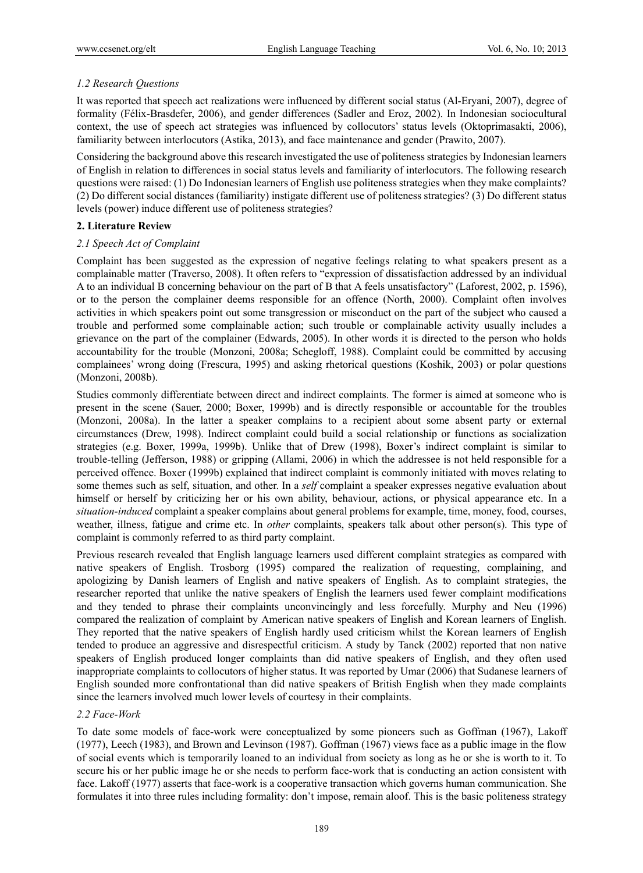# *1.2 Research Questions*

It was reported that speech act realizations were influenced by different social status (Al-Eryani, 2007), degree of formality (Félix-Brasdefer, 2006), and gender differences (Sadler and Eroz, 2002). In Indonesian sociocultural context, the use of speech act strategies was influenced by collocutors' status levels (Oktoprimasakti, 2006), familiarity between interlocutors (Astika, 2013), and face maintenance and gender (Prawito, 2007).

Considering the background above this research investigated the use of politeness strategies by Indonesian learners of English in relation to differences in social status levels and familiarity of interlocutors. The following research questions were raised: (1) Do Indonesian learners of English use politeness strategies when they make complaints? (2) Do different social distances (familiarity) instigate different use of politeness strategies? (3) Do different status levels (power) induce different use of politeness strategies?

# **2. Literature Review**

# *2.1 Speech Act of Complaint*

Complaint has been suggested as the expression of negative feelings relating to what speakers present as a complainable matter (Traverso, 2008). It often refers to "expression of dissatisfaction addressed by an individual A to an individual B concerning behaviour on the part of B that A feels unsatisfactory" (Laforest, 2002, p. 1596), or to the person the complainer deems responsible for an offence (North, 2000). Complaint often involves activities in which speakers point out some transgression or misconduct on the part of the subject who caused a trouble and performed some complainable action; such trouble or complainable activity usually includes a grievance on the part of the complainer (Edwards, 2005). In other words it is directed to the person who holds accountability for the trouble (Monzoni, 2008a; Schegloff, 1988). Complaint could be committed by accusing complainees' wrong doing (Frescura, 1995) and asking rhetorical questions (Koshik, 2003) or polar questions (Monzoni, 2008b).

Studies commonly differentiate between direct and indirect complaints. The former is aimed at someone who is present in the scene (Sauer, 2000; Boxer, 1999b) and is directly responsible or accountable for the troubles (Monzoni, 2008a). In the latter a speaker complains to a recipient about some absent party or external circumstances (Drew, 1998). Indirect complaint could build a social relationship or functions as socialization strategies (e.g. Boxer, 1999a, 1999b). Unlike that of Drew (1998), Boxer's indirect complaint is similar to trouble-telling (Jefferson, 1988) or gripping (Allami, 2006) in which the addressee is not held responsible for a perceived offence. Boxer (1999b) explained that indirect complaint is commonly initiated with moves relating to some themes such as self, situation, and other. In a *self* complaint a speaker expresses negative evaluation about himself or herself by criticizing her or his own ability, behaviour, actions, or physical appearance etc. In a *situation-induced* complaint a speaker complains about general problems for example, time, money, food, courses, weather, illness, fatigue and crime etc. In *other* complaints, speakers talk about other person(s). This type of complaint is commonly referred to as third party complaint.

Previous research revealed that English language learners used different complaint strategies as compared with native speakers of English. Trosborg (1995) compared the realization of requesting, complaining, and apologizing by Danish learners of English and native speakers of English. As to complaint strategies, the researcher reported that unlike the native speakers of English the learners used fewer complaint modifications and they tended to phrase their complaints unconvincingly and less forcefully. Murphy and Neu (1996) compared the realization of complaint by American native speakers of English and Korean learners of English. They reported that the native speakers of English hardly used criticism whilst the Korean learners of English tended to produce an aggressive and disrespectful criticism. A study by Tanck (2002) reported that non native speakers of English produced longer complaints than did native speakers of English, and they often used inappropriate complaints to collocutors of higher status. It was reported by Umar (2006) that Sudanese learners of English sounded more confrontational than did native speakers of British English when they made complaints since the learners involved much lower levels of courtesy in their complaints.

# *2.2 Face-Work*

To date some models of face-work were conceptualized by some pioneers such as Goffman (1967), Lakoff (1977), Leech (1983), and Brown and Levinson (1987). Goffman (1967) views face as a public image in the flow of social events which is temporarily loaned to an individual from society as long as he or she is worth to it. To secure his or her public image he or she needs to perform face-work that is conducting an action consistent with face. Lakoff (1977) asserts that face-work is a cooperative transaction which governs human communication. She formulates it into three rules including formality: don't impose, remain aloof. This is the basic politeness strategy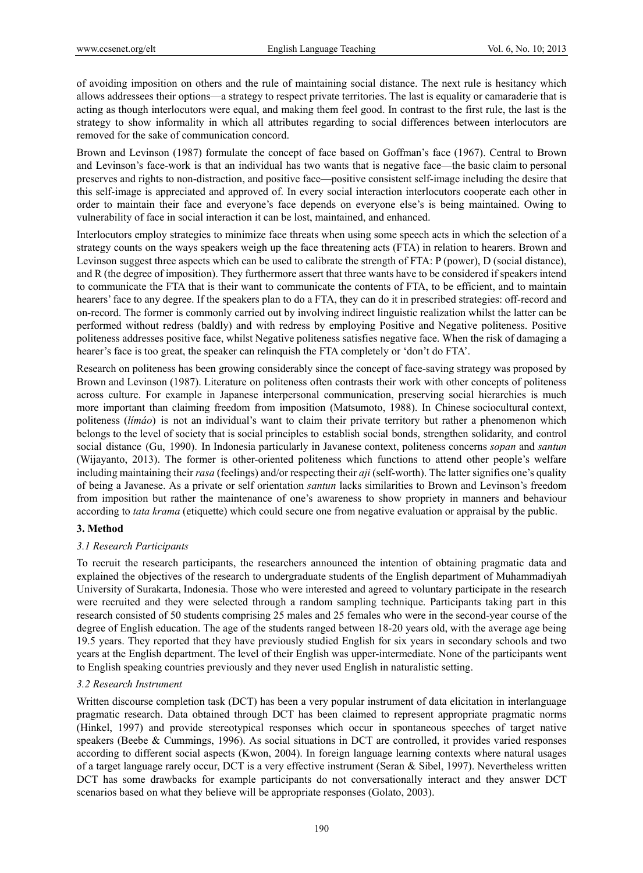of avoiding imposition on others and the rule of maintaining social distance. The next rule is hesitancy which allows addressees their options—a strategy to respect private territories. The last is equality or camaraderie that is acting as though interlocutors were equal, and making them feel good. In contrast to the first rule, the last is the strategy to show informality in which all attributes regarding to social differences between interlocutors are removed for the sake of communication concord.

Brown and Levinson (1987) formulate the concept of face based on Goffman's face (1967). Central to Brown and Levinson's face-work is that an individual has two wants that is negative face—the basic claim to personal preserves and rights to non-distraction, and positive face—positive consistent self-image including the desire that this self-image is appreciated and approved of. In every social interaction interlocutors cooperate each other in order to maintain their face and everyone's face depends on everyone else's is being maintained. Owing to vulnerability of face in social interaction it can be lost, maintained, and enhanced.

Interlocutors employ strategies to minimize face threats when using some speech acts in which the selection of a strategy counts on the ways speakers weigh up the face threatening acts (FTA) in relation to hearers. Brown and Levinson suggest three aspects which can be used to calibrate the strength of FTA: P (power), D (social distance), and R (the degree of imposition). They furthermore assert that three wants have to be considered if speakers intend to communicate the FTA that is their want to communicate the contents of FTA, to be efficient, and to maintain hearers' face to any degree. If the speakers plan to do a FTA, they can do it in prescribed strategies: off-record and on-record. The former is commonly carried out by involving indirect linguistic realization whilst the latter can be performed without redress (baldly) and with redress by employing Positive and Negative politeness. Positive politeness addresses positive face, whilst Negative politeness satisfies negative face. When the risk of damaging a hearer's face is too great, the speaker can relinquish the FTA completely or 'don't do FTA'.

Research on politeness has been growing considerably since the concept of face-saving strategy was proposed by Brown and Levinson (1987). Literature on politeness often contrasts their work with other concepts of politeness across culture. For example in Japanese interpersonal communication, preserving social hierarchies is much more important than claiming freedom from imposition (Matsumoto, 1988). In Chinese sociocultural context, politeness (*límáo*) is not an individual's want to claim their private territory but rather a phenomenon which belongs to the level of society that is social principles to establish social bonds, strengthen solidarity, and control social distance (Gu, 1990). In Indonesia particularly in Javanese context, politeness concerns *sopan* and *santun* (Wijayanto, 2013). The former is other-oriented politeness which functions to attend other people's welfare including maintaining their *rasa* (feelings) and/or respecting their *aji* (self-worth). The latter signifies one's quality of being a Javanese. As a private or self orientation *santun* lacks similarities to Brown and Levinson's freedom from imposition but rather the maintenance of one's awareness to show propriety in manners and behaviour according to *tata krama* (etiquette) which could secure one from negative evaluation or appraisal by the public.

# **3. Method**

# *3.1 Research Participants*

To recruit the research participants, the researchers announced the intention of obtaining pragmatic data and explained the objectives of the research to undergraduate students of the English department of Muhammadiyah University of Surakarta, Indonesia. Those who were interested and agreed to voluntary participate in the research were recruited and they were selected through a random sampling technique. Participants taking part in this research consisted of 50 students comprising 25 males and 25 females who were in the second-year course of the degree of English education. The age of the students ranged between 18-20 years old, with the average age being 19.5 years. They reported that they have previously studied English for six years in secondary schools and two years at the English department. The level of their English was upper-intermediate. None of the participants went to English speaking countries previously and they never used English in naturalistic setting.

# *3.2 Research Instrument*

Written discourse completion task (DCT) has been a very popular instrument of data elicitation in interlanguage pragmatic research. Data obtained through DCT has been claimed to represent appropriate pragmatic norms (Hinkel, 1997) and provide stereotypical responses which occur in spontaneous speeches of target native speakers (Beebe & Cummings, 1996). As social situations in DCT are controlled, it provides varied responses according to different social aspects (Kwon, 2004). In foreign language learning contexts where natural usages of a target language rarely occur, DCT is a very effective instrument (Seran & Sibel, 1997). Nevertheless written DCT has some drawbacks for example participants do not conversationally interact and they answer DCT scenarios based on what they believe will be appropriate responses (Golato, 2003).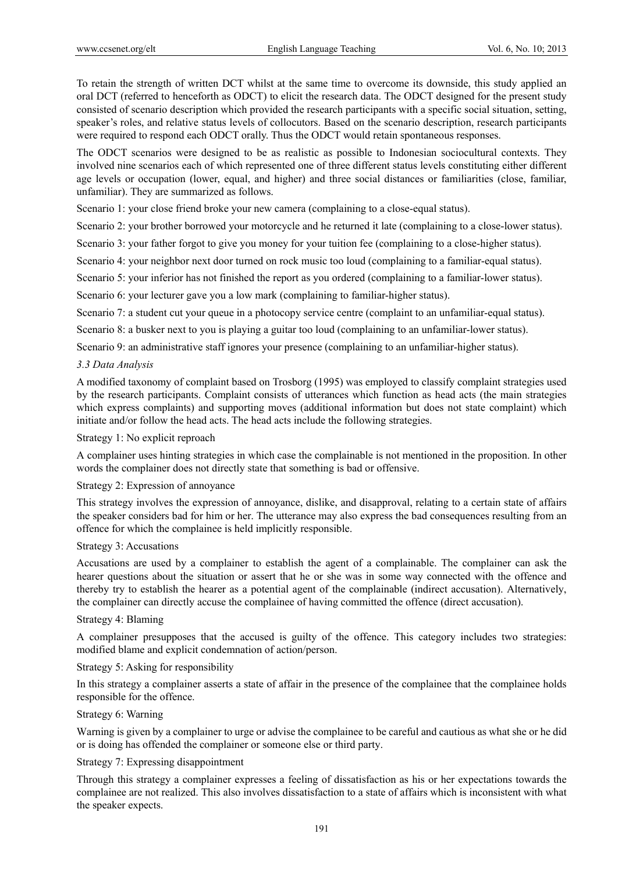To retain the strength of written DCT whilst at the same time to overcome its downside, this study applied an oral DCT (referred to henceforth as ODCT) to elicit the research data. The ODCT designed for the present study consisted of scenario description which provided the research participants with a specific social situation, setting, speaker's roles, and relative status levels of collocutors. Based on the scenario description, research participants were required to respond each ODCT orally. Thus the ODCT would retain spontaneous responses.

The ODCT scenarios were designed to be as realistic as possible to Indonesian sociocultural contexts. They involved nine scenarios each of which represented one of three different status levels constituting either different age levels or occupation (lower, equal, and higher) and three social distances or familiarities (close, familiar, unfamiliar). They are summarized as follows.

Scenario 1: your close friend broke your new camera (complaining to a close-equal status).

Scenario 2: your brother borrowed your motorcycle and he returned it late (complaining to a close-lower status).

Scenario 3: your father forgot to give you money for your tuition fee (complaining to a close-higher status).

Scenario 4: your neighbor next door turned on rock music too loud (complaining to a familiar-equal status).

Scenario 5: your inferior has not finished the report as you ordered (complaining to a familiar-lower status).

Scenario 6: your lecturer gave you a low mark (complaining to familiar-higher status).

Scenario 7: a student cut your queue in a photocopy service centre (complaint to an unfamiliar-equal status).

Scenario 8: a busker next to you is playing a guitar too loud (complaining to an unfamiliar-lower status).

Scenario 9: an administrative staff ignores your presence (complaining to an unfamiliar-higher status).

### *3.3 Data Analysis*

A modified taxonomy of complaint based on Trosborg (1995) was employed to classify complaint strategies used by the research participants. Complaint consists of utterances which function as head acts (the main strategies which express complaints) and supporting moves (additional information but does not state complaint) which initiate and/or follow the head acts. The head acts include the following strategies.

Strategy 1: No explicit reproach

A complainer uses hinting strategies in which case the complainable is not mentioned in the proposition. In other words the complainer does not directly state that something is bad or offensive.

# Strategy 2: Expression of annoyance

This strategy involves the expression of annoyance, dislike, and disapproval, relating to a certain state of affairs the speaker considers bad for him or her. The utterance may also express the bad consequences resulting from an offence for which the complainee is held implicitly responsible.

#### Strategy 3: Accusations

Accusations are used by a complainer to establish the agent of a complainable. The complainer can ask the hearer questions about the situation or assert that he or she was in some way connected with the offence and thereby try to establish the hearer as a potential agent of the complainable (indirect accusation). Alternatively, the complainer can directly accuse the complainee of having committed the offence (direct accusation).

#### Strategy 4: Blaming

A complainer presupposes that the accused is guilty of the offence. This category includes two strategies: modified blame and explicit condemnation of action/person.

# Strategy 5: Asking for responsibility

In this strategy a complainer asserts a state of affair in the presence of the complainee that the complainee holds responsible for the offence.

#### Strategy 6: Warning

Warning is given by a complainer to urge or advise the complainee to be careful and cautious as what she or he did or is doing has offended the complainer or someone else or third party.

## Strategy 7: Expressing disappointment

Through this strategy a complainer expresses a feeling of dissatisfaction as his or her expectations towards the complainee are not realized. This also involves dissatisfaction to a state of affairs which is inconsistent with what the speaker expects.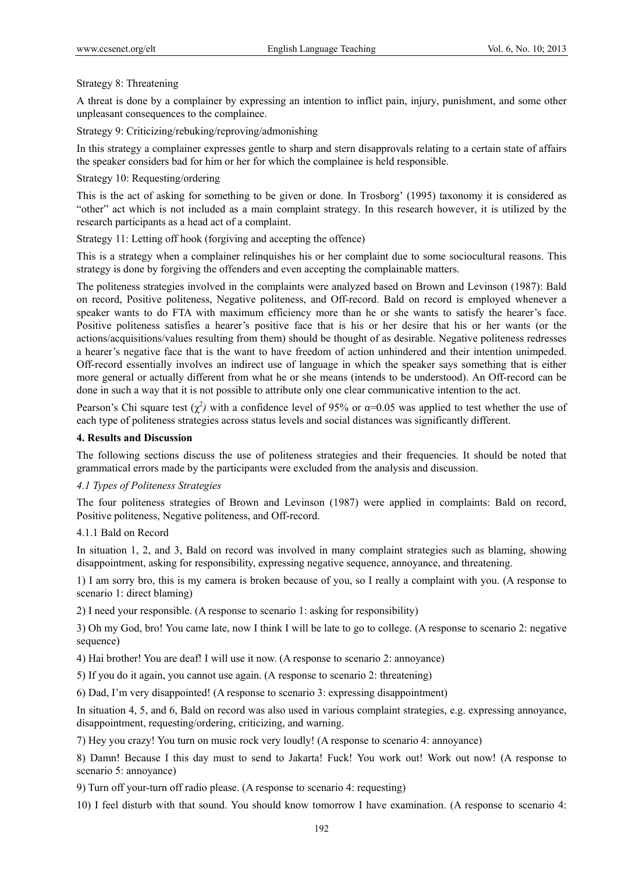## Strategy 8: Threatening

A threat is done by a complainer by expressing an intention to inflict pain, injury, punishment, and some other unpleasant consequences to the complainee.

Strategy 9: Criticizing/rebuking/reproving/admonishing

In this strategy a complainer expresses gentle to sharp and stern disapprovals relating to a certain state of affairs the speaker considers bad for him or her for which the complainee is held responsible.

#### Strategy 10: Requesting/ordering

This is the act of asking for something to be given or done. In Trosborg' (1995) taxonomy it is considered as "other" act which is not included as a main complaint strategy. In this research however, it is utilized by the research participants as a head act of a complaint.

Strategy 11: Letting off hook (forgiving and accepting the offence)

This is a strategy when a complainer relinquishes his or her complaint due to some sociocultural reasons. This strategy is done by forgiving the offenders and even accepting the complainable matters.

The politeness strategies involved in the complaints were analyzed based on Brown and Levinson (1987): Bald on record, Positive politeness, Negative politeness, and Off-record. Bald on record is employed whenever a speaker wants to do FTA with maximum efficiency more than he or she wants to satisfy the hearer's face. Positive politeness satisfies a hearer's positive face that is his or her desire that his or her wants (or the actions/acquisitions/values resulting from them) should be thought of as desirable. Negative politeness redresses a hearer's negative face that is the want to have freedom of action unhindered and their intention unimpeded. Off-record essentially involves an indirect use of language in which the speaker says something that is either more general or actually different from what he or she means (intends to be understood). An Off-record can be done in such a way that it is not possible to attribute only one clear communicative intention to the act.

Pearson's Chi square test  $(\chi^2)$  with a confidence level of 95% or  $\alpha$ =0.05 was applied to test whether the use of each type of politeness strategies across status levels and social distances was significantly different.

#### **4. Results and Discussion**

The following sections discuss the use of politeness strategies and their frequencies. It should be noted that grammatical errors made by the participants were excluded from the analysis and discussion.

# *4.1 Types of Politeness Strategies*

The four politeness strategies of Brown and Levinson (1987) were applied in complaints: Bald on record, Positive politeness, Negative politeness, and Off-record.

#### 4.1.1 Bald on Record

In situation 1, 2, and 3, Bald on record was involved in many complaint strategies such as blaming, showing disappointment, asking for responsibility, expressing negative sequence, annoyance, and threatening.

1) I am sorry bro, this is my camera is broken because of you, so I really a complaint with you. (A response to scenario 1: direct blaming)

2) I need your responsible. (A response to scenario 1: asking for responsibility)

3) Oh my God, bro! You came late, now I think I will be late to go to college. (A response to scenario 2: negative sequence)

4) Hai brother! You are deaf! I will use it now. (A response to scenario 2: annoyance)

5) If you do it again, you cannot use again. (A response to scenario 2: threatening)

6) Dad, I'm very disappointed! (A response to scenario 3: expressing disappointment)

In situation 4, 5, and 6, Bald on record was also used in various complaint strategies, e.g. expressing annoyance, disappointment, requesting/ordering, criticizing, and warning.

7) Hey you crazy! You turn on music rock very loudly! (A response to scenario 4: annoyance)

8) Damn! Because I this day must to send to Jakarta! Fuck! You work out! Work out now! (A response to scenario 5: annoyance)

9) Turn off your-turn off radio please. (A response to scenario 4: requesting)

10) I feel disturb with that sound. You should know tomorrow I have examination. (A response to scenario 4: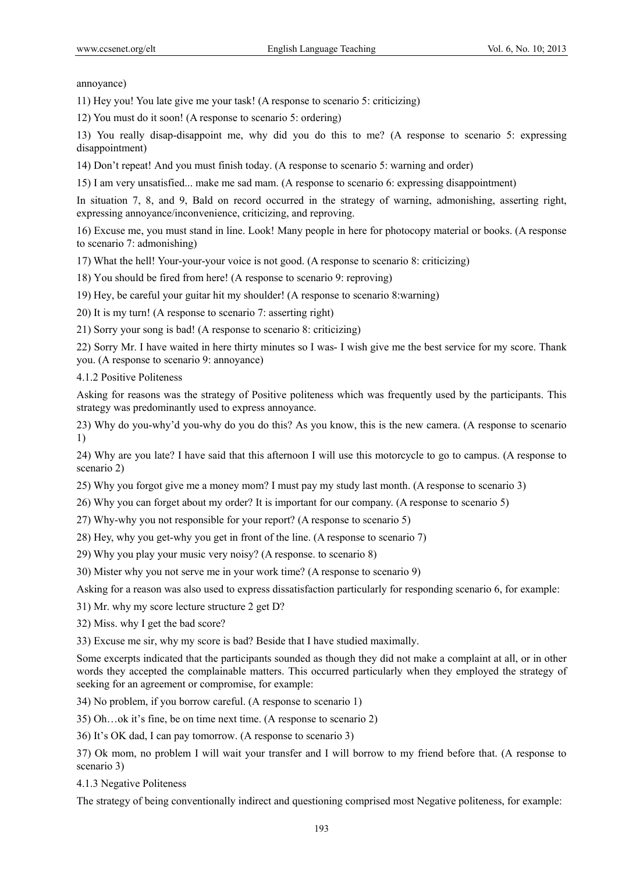annoyance)

11) Hey you! You late give me your task! (A response to scenario 5: criticizing)

12) You must do it soon! (A response to scenario 5: ordering)

13) You really disap-disappoint me, why did you do this to me? (A response to scenario 5: expressing disappointment)

14) Don't repeat! And you must finish today. (A response to scenario 5: warning and order)

15) I am very unsatisfied... make me sad mam. (A response to scenario 6: expressing disappointment)

In situation 7, 8, and 9, Bald on record occurred in the strategy of warning, admonishing, asserting right, expressing annoyance/inconvenience, criticizing, and reproving.

16) Excuse me, you must stand in line. Look! Many people in here for photocopy material or books. (A response to scenario 7: admonishing)

17) What the hell! Your-your-your voice is not good. (A response to scenario 8: criticizing)

18) You should be fired from here! (A response to scenario 9: reproving)

19) Hey, be careful your guitar hit my shoulder! (A response to scenario 8:warning)

20) It is my turn! (A response to scenario 7: asserting right)

21) Sorry your song is bad! (A response to scenario 8: criticizing)

22) Sorry Mr. I have waited in here thirty minutes so I was- I wish give me the best service for my score. Thank you. (A response to scenario 9: annoyance)

4.1.2 Positive Politeness

Asking for reasons was the strategy of Positive politeness which was frequently used by the participants. This strategy was predominantly used to express annoyance.

23) Why do you-why'd you-why do you do this? As you know, this is the new camera. (A response to scenario 1)

24) Why are you late? I have said that this afternoon I will use this motorcycle to go to campus. (A response to scenario 2)

25) Why you forgot give me a money mom? I must pay my study last month. (A response to scenario 3)

26) Why you can forget about my order? It is important for our company. (A response to scenario 5)

27) Why-why you not responsible for your report? (A response to scenario 5)

28) Hey, why you get-why you get in front of the line. (A response to scenario 7)

29) Why you play your music very noisy? (A response. to scenario 8)

30) Mister why you not serve me in your work time? (A response to scenario 9)

Asking for a reason was also used to express dissatisfaction particularly for responding scenario 6, for example:

31) Mr. why my score lecture structure 2 get D?

32) Miss. why I get the bad score?

33) Excuse me sir, why my score is bad? Beside that I have studied maximally.

Some excerpts indicated that the participants sounded as though they did not make a complaint at all, or in other words they accepted the complainable matters. This occurred particularly when they employed the strategy of seeking for an agreement or compromise, for example:

34) No problem, if you borrow careful. (A response to scenario 1)

35) Oh…ok it's fine, be on time next time. (A response to scenario 2)

36) It's OK dad, I can pay tomorrow. (A response to scenario 3)

37) Ok mom, no problem I will wait your transfer and I will borrow to my friend before that. (A response to scenario 3)

4.1.3 Negative Politeness

The strategy of being conventionally indirect and questioning comprised most Negative politeness, for example: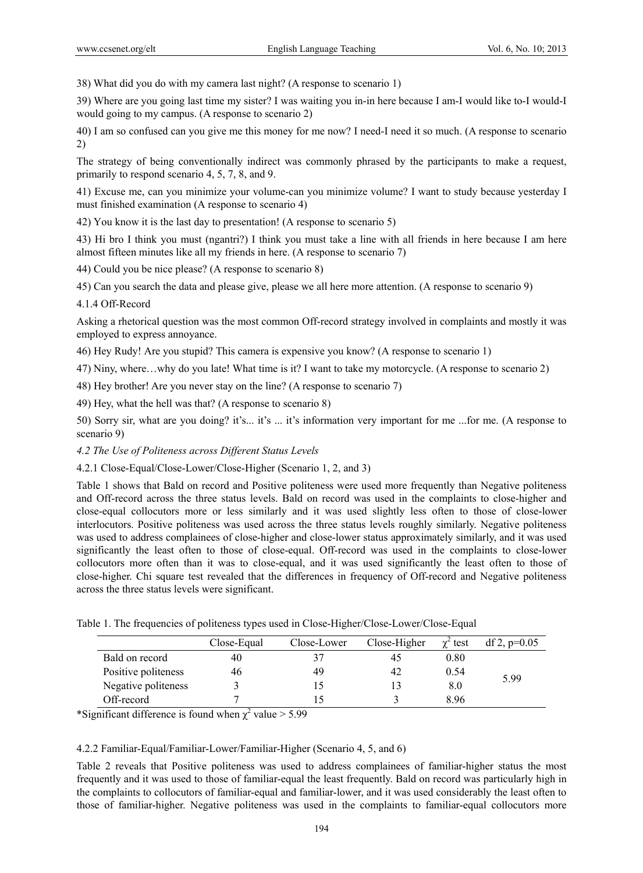38) What did you do with my camera last night? (A response to scenario 1)

39) Where are you going last time my sister? I was waiting you in-in here because I am-I would like to-I would-I would going to my campus. (A response to scenario 2)

40) I am so confused can you give me this money for me now? I need-I need it so much. (A response to scenario 2)

The strategy of being conventionally indirect was commonly phrased by the participants to make a request, primarily to respond scenario 4, 5, 7, 8, and 9.

41) Excuse me, can you minimize your volume-can you minimize volume? I want to study because yesterday I must finished examination (A response to scenario 4)

42) You know it is the last day to presentation! (A response to scenario 5)

43) Hi bro I think you must (ngantri?) I think you must take a line with all friends in here because I am here almost fifteen minutes like all my friends in here. (A response to scenario 7)

44) Could you be nice please? (A response to scenario 8)

45) Can you search the data and please give, please we all here more attention. (A response to scenario 9)

4.1.4 Off-Record

Asking a rhetorical question was the most common Off-record strategy involved in complaints and mostly it was employed to express annoyance.

46) Hey Rudy! Are you stupid? This camera is expensive you know? (A response to scenario 1)

47) Niny, where…why do you late! What time is it? I want to take my motorcycle. (A response to scenario 2)

48) Hey brother! Are you never stay on the line? (A response to scenario 7)

49) Hey, what the hell was that? (A response to scenario 8)

50) Sorry sir, what are you doing? it's... it's ... it's information very important for me ...for me. (A response to scenario 9)

*4.2 The Use of Politeness across Different Status Levels* 

4.2.1 Close-Equal/Close-Lower/Close-Higher (Scenario 1, 2, and 3)

Table 1 shows that Bald on record and Positive politeness were used more frequently than Negative politeness and Off-record across the three status levels. Bald on record was used in the complaints to close-higher and close-equal collocutors more or less similarly and it was used slightly less often to those of close-lower interlocutors. Positive politeness was used across the three status levels roughly similarly. Negative politeness was used to address complainees of close-higher and close-lower status approximately similarly, and it was used significantly the least often to those of close-equal. Off-record was used in the complaints to close-lower collocutors more often than it was to close-equal, and it was used significantly the least often to those of close-higher. Chi square test revealed that the differences in frequency of Off-record and Negative politeness across the three status levels were significant.

|  |  | Table 1. The frequencies of politeness types used in Close-Higher/Close-Lower/Close-Equal |
|--|--|-------------------------------------------------------------------------------------------|
|  |  |                                                                                           |

|                     | Close-Equal | Close-Lower | Close-Higher | $\gamma^2$ test | df 2, $p=0.05$ |
|---------------------|-------------|-------------|--------------|-----------------|----------------|
| Bald on record      | 40          |             |              | 0.80            |                |
| Positive politeness | 46          | 49          | 42           | 0.54            | 5.99           |
| Negative politeness |             |             |              | 8.0             |                |
| Off-record          |             |             |              | 8.96            |                |

\*Significant difference is found when  $\chi^2$  value > 5.99

4.2.2 Familiar-Equal/Familiar-Lower/Familiar-Higher (Scenario 4, 5, and 6)

Table 2 reveals that Positive politeness was used to address complainees of familiar-higher status the most frequently and it was used to those of familiar-equal the least frequently. Bald on record was particularly high in the complaints to collocutors of familiar-equal and familiar-lower, and it was used considerably the least often to those of familiar-higher. Negative politeness was used in the complaints to familiar-equal collocutors more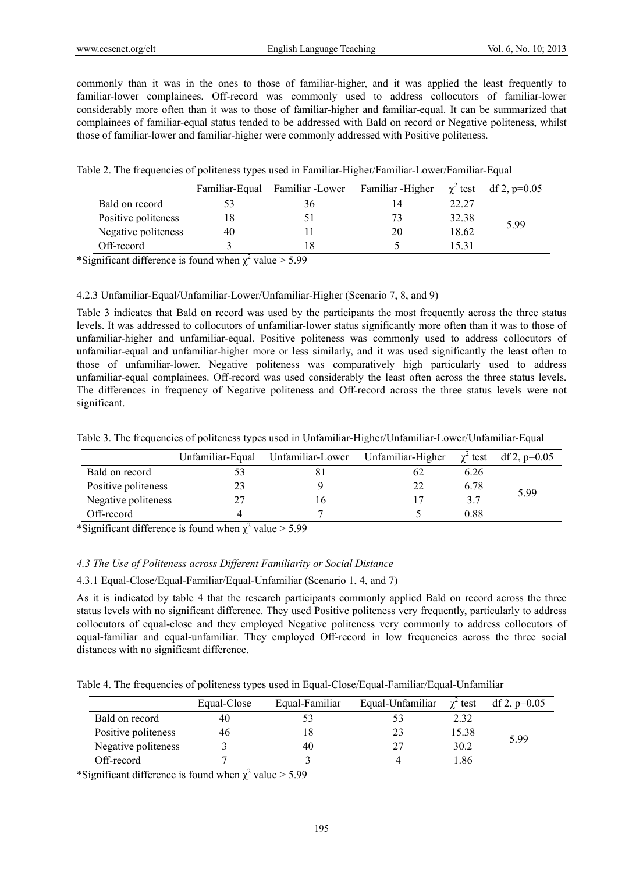commonly than it was in the ones to those of familiar-higher, and it was applied the least frequently to familiar-lower complainees. Off-record was commonly used to address collocutors of familiar-lower considerably more often than it was to those of familiar-higher and familiar-equal. It can be summarized that complainees of familiar-equal status tended to be addressed with Bald on record or Negative politeness, whilst those of familiar-lower and familiar-higher were commonly addressed with Positive politeness.

| Table 2. The frequencies of politeness types used in Familiar-Higher/Familiar-Lower/Familiar-Equal |  |  |  |  |  |  |  |
|----------------------------------------------------------------------------------------------------|--|--|--|--|--|--|--|
|----------------------------------------------------------------------------------------------------|--|--|--|--|--|--|--|

|                     | Familiar-Equal | Familiar -Lower | Familiar -Higher | $\gamma^2$ test | df 2, $p=0.05$ |
|---------------------|----------------|-----------------|------------------|-----------------|----------------|
| Bald on record      |                | 36              | 14               | 22.27           |                |
| Positive politeness |                |                 | 73               | 32.38           | 5.99           |
| Negative politeness | 40             |                 | 20               | 18.62           |                |
| Off-record          |                |                 |                  | 1531            |                |

\*Significant difference is found when  $\chi^2$  value > 5.99

4.2.3 Unfamiliar-Equal/Unfamiliar-Lower/Unfamiliar-Higher (Scenario 7, 8, and 9)

Table 3 indicates that Bald on record was used by the participants the most frequently across the three status levels. It was addressed to collocutors of unfamiliar-lower status significantly more often than it was to those of unfamiliar-higher and unfamiliar-equal. Positive politeness was commonly used to address collocutors of unfamiliar-equal and unfamiliar-higher more or less similarly, and it was used significantly the least often to those of unfamiliar-lower. Negative politeness was comparatively high particularly used to address unfamiliar-equal complainees. Off-record was used considerably the least often across the three status levels. The differences in frequency of Negative politeness and Off-record across the three status levels were not significant.

| Table 3. The frequencies of politeness types used in Unfamiliar-Higher/Unfamiliar-Lower/Unfamiliar-Equal |  |  |  |  |
|----------------------------------------------------------------------------------------------------------|--|--|--|--|
|                                                                                                          |  |  |  |  |

|                     | Unfamiliar-Equal | Unfamiliar-Lower | Unfamiliar-Higher | $\gamma^2$ test | df 2, $p=0.05$ |
|---------------------|------------------|------------------|-------------------|-----------------|----------------|
| Bald on record      |                  |                  | 62                | 6.26            |                |
| Positive politeness |                  |                  | 22                | 6.78            | 5.99           |
| Negative politeness |                  |                  |                   | 3.7             |                |
| Off-record          |                  |                  |                   | 0.88            |                |

\*Significant difference is found when  $\chi^2$  value > 5.99

# *4.3 The Use of Politeness across Different Familiarity or Social Distance*

4.3.1 Equal-Close/Equal-Familiar/Equal-Unfamiliar (Scenario 1, 4, and 7)

As it is indicated by table 4 that the research participants commonly applied Bald on record across the three status levels with no significant difference. They used Positive politeness very frequently, particularly to address collocutors of equal-close and they employed Negative politeness very commonly to address collocutors of equal-familiar and equal-unfamiliar. They employed Off-record in low frequencies across the three social distances with no significant difference.

Table 4. The frequencies of politeness types used in Equal-Close/Equal-Familiar/Equal-Unfamiliar

|                     | Equal-Close | Equal-Familiar | Equal-Unfamiliar | $\gamma^2$ test | df 2, $p=0.05$ |
|---------------------|-------------|----------------|------------------|-----------------|----------------|
| Bald on record      | 40          |                | 53               | 2.32            |                |
| Positive politeness | 46          |                | 23               | 15.38           | 5.99           |
| Negative politeness |             | 40             | 27               | 30.2            |                |
| Off-record          |             |                |                  | 1.86            |                |

\*Significant difference is found when  $\chi^2$  value > 5.99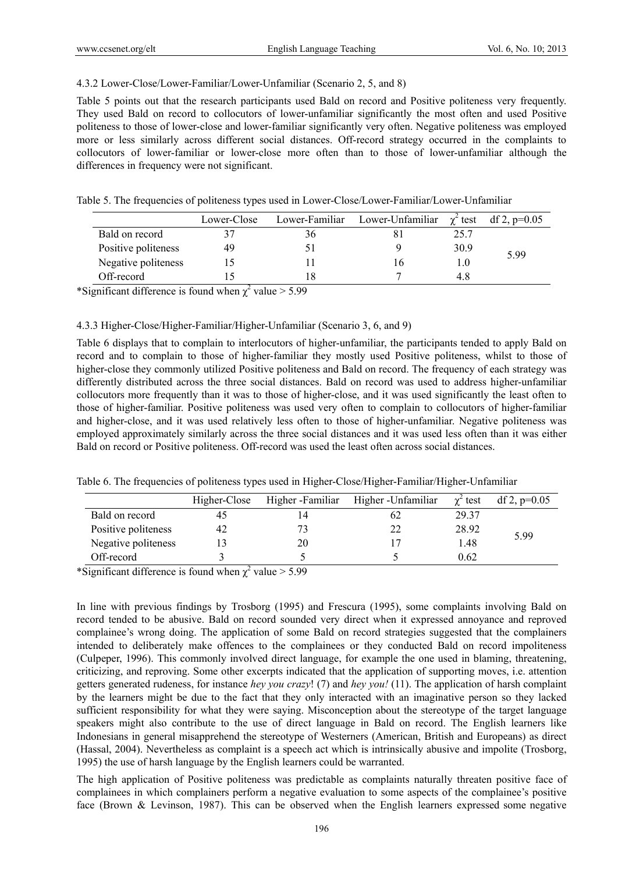# 4.3.2 Lower-Close/Lower-Familiar/Lower-Unfamiliar (Scenario 2, 5, and 8)

Table 5 points out that the research participants used Bald on record and Positive politeness very frequently. They used Bald on record to collocutors of lower-unfamiliar significantly the most often and used Positive politeness to those of lower-close and lower-familiar significantly very often. Negative politeness was employed more or less similarly across different social distances. Off-record strategy occurred in the complaints to collocutors of lower-familiar or lower-close more often than to those of lower-unfamiliar although the differences in frequency were not significant.

|                     | Lower-Close | Lower-Familiar | Lower-Unfamiliar |      | $\chi^2$ test df 2, p=0.05 |
|---------------------|-------------|----------------|------------------|------|----------------------------|
| Bald on record      |             | 36             |                  | 25.7 |                            |
| Positive politeness | 49          |                |                  | 30.9 | 5.99                       |
| Negative politeness |             |                | 16               |      |                            |
| Off-record          |             | 8              |                  | 48   |                            |

\*Significant difference is found when  $\chi^2$  value > 5.99

# 4.3.3 Higher-Close/Higher-Familiar/Higher-Unfamiliar (Scenario 3, 6, and 9)

Table 6 displays that to complain to interlocutors of higher-unfamiliar, the participants tended to apply Bald on record and to complain to those of higher-familiar they mostly used Positive politeness, whilst to those of higher-close they commonly utilized Positive politeness and Bald on record. The frequency of each strategy was differently distributed across the three social distances. Bald on record was used to address higher-unfamiliar collocutors more frequently than it was to those of higher-close, and it was used significantly the least often to those of higher-familiar. Positive politeness was used very often to complain to collocutors of higher-familiar and higher-close, and it was used relatively less often to those of higher-unfamiliar. Negative politeness was employed approximately similarly across the three social distances and it was used less often than it was either Bald on record or Positive politeness. Off-record was used the least often across social distances.

|  |  |  | Table 6. The frequencies of politeness types used in Higher-Close/Higher-Familiar/Higher-Unfamiliar |
|--|--|--|-----------------------------------------------------------------------------------------------------|
|  |  |  |                                                                                                     |

|                     | Higher-Close | Higher-Familiar | Higher - Unfamiliar | $\gamma^2$ test | df 2, $p=0.05$ |
|---------------------|--------------|-----------------|---------------------|-----------------|----------------|
| Bald on record      |              |                 | 62                  | 29.37           |                |
| Positive politeness | 42           |                 |                     | 28.92           |                |
| Negative politeness |              | 20              |                     | 1.48            | 5.99           |
| Off-record          |              |                 |                     | 0.62            |                |

\*Significant difference is found when  $\chi^2$  value > 5.99

In line with previous findings by Trosborg (1995) and Frescura (1995), some complaints involving Bald on record tended to be abusive. Bald on record sounded very direct when it expressed annoyance and reproved complainee's wrong doing. The application of some Bald on record strategies suggested that the complainers intended to deliberately make offences to the complainees or they conducted Bald on record impoliteness (Culpeper, 1996). This commonly involved direct language, for example the one used in blaming, threatening, criticizing, and reproving. Some other excerpts indicated that the application of supporting moves, i.e. attention getters generated rudeness, for instance *hey you crazy*! (7) and *hey you!* (11). The application of harsh complaint by the learners might be due to the fact that they only interacted with an imaginative person so they lacked sufficient responsibility for what they were saying. Misconception about the stereotype of the target language speakers might also contribute to the use of direct language in Bald on record. The English learners like Indonesians in general misapprehend the stereotype of Westerners (American, British and Europeans) as direct (Hassal, 2004). Nevertheless as complaint is a speech act which is intrinsically abusive and impolite (Trosborg, 1995) the use of harsh language by the English learners could be warranted.

The high application of Positive politeness was predictable as complaints naturally threaten positive face of complainees in which complainers perform a negative evaluation to some aspects of the complainee's positive face (Brown & Levinson, 1987). This can be observed when the English learners expressed some negative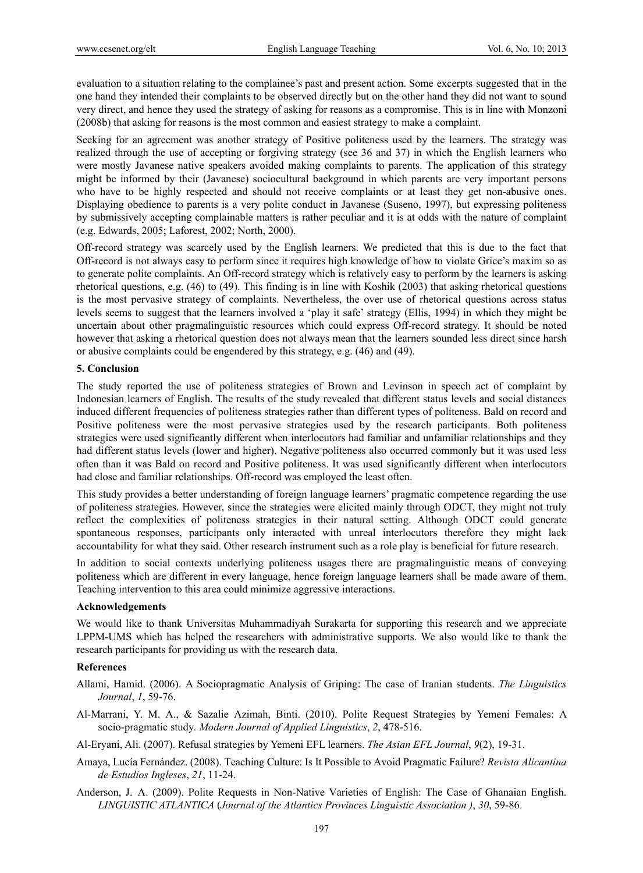evaluation to a situation relating to the complainee's past and present action. Some excerpts suggested that in the one hand they intended their complaints to be observed directly but on the other hand they did not want to sound very direct, and hence they used the strategy of asking for reasons as a compromise. This is in line with Monzoni (2008b) that asking for reasons is the most common and easiest strategy to make a complaint.

Seeking for an agreement was another strategy of Positive politeness used by the learners. The strategy was realized through the use of accepting or forgiving strategy (see 36 and 37) in which the English learners who were mostly Javanese native speakers avoided making complaints to parents. The application of this strategy might be informed by their (Javanese) sociocultural background in which parents are very important persons who have to be highly respected and should not receive complaints or at least they get non-abusive ones. Displaying obedience to parents is a very polite conduct in Javanese (Suseno, 1997), but expressing politeness by submissively accepting complainable matters is rather peculiar and it is at odds with the nature of complaint (e.g. Edwards, 2005; Laforest, 2002; North, 2000).

Off-record strategy was scarcely used by the English learners. We predicted that this is due to the fact that Off-record is not always easy to perform since it requires high knowledge of how to violate Grice's maxim so as to generate polite complaints. An Off-record strategy which is relatively easy to perform by the learners is asking rhetorical questions, e.g. (46) to (49). This finding is in line with Koshik (2003) that asking rhetorical questions is the most pervasive strategy of complaints. Nevertheless, the over use of rhetorical questions across status levels seems to suggest that the learners involved a 'play it safe' strategy (Ellis, 1994) in which they might be uncertain about other pragmalinguistic resources which could express Off-record strategy. It should be noted however that asking a rhetorical question does not always mean that the learners sounded less direct since harsh or abusive complaints could be engendered by this strategy, e.g. (46) and (49).

#### **5. Conclusion**

The study reported the use of politeness strategies of Brown and Levinson in speech act of complaint by Indonesian learners of English. The results of the study revealed that different status levels and social distances induced different frequencies of politeness strategies rather than different types of politeness. Bald on record and Positive politeness were the most pervasive strategies used by the research participants. Both politeness strategies were used significantly different when interlocutors had familiar and unfamiliar relationships and they had different status levels (lower and higher). Negative politeness also occurred commonly but it was used less often than it was Bald on record and Positive politeness. It was used significantly different when interlocutors had close and familiar relationships. Off-record was employed the least often.

This study provides a better understanding of foreign language learners' pragmatic competence regarding the use of politeness strategies. However, since the strategies were elicited mainly through ODCT, they might not truly reflect the complexities of politeness strategies in their natural setting. Although ODCT could generate spontaneous responses, participants only interacted with unreal interlocutors therefore they might lack accountability for what they said. Other research instrument such as a role play is beneficial for future research.

In addition to social contexts underlying politeness usages there are pragmalinguistic means of conveying politeness which are different in every language, hence foreign language learners shall be made aware of them. Teaching intervention to this area could minimize aggressive interactions.

### **Acknowledgements**

We would like to thank Universitas Muhammadiyah Surakarta for supporting this research and we appreciate LPPM-UMS which has helped the researchers with administrative supports. We also would like to thank the research participants for providing us with the research data.

#### **References**

- Allami, Hamid. (2006). A Sociopragmatic Analysis of Griping: The case of Iranian students. *The Linguistics Journal*, *1*, 59-76.
- Al-Marrani, Y. M. A., & Sazalie Azimah, Binti. (2010). Polite Request Strategies by Yemeni Females: A socio-pragmatic study*. Modern Journal of Applied Linguistics*, *2*, 478-516.
- Al-Eryani, Ali. (2007). Refusal strategies by Yemeni EFL learners. *The Asian EFL Journal*, *9*(2), 19-31.
- Amaya, Lucía Fernández. (2008). Teaching Culture: Is It Possible to Avoid Pragmatic Failure? *Revista Alicantina de Estudios Ingleses*, *21*, 11-24.
- Anderson, J. A. (2009). Polite Requests in Non-Native Varieties of English: The Case of Ghanaian English. *LINGUISTIC ATLANTICA* (*Journal of the Atlantics Provinces Linguistic Association )*, *30*, 59-86.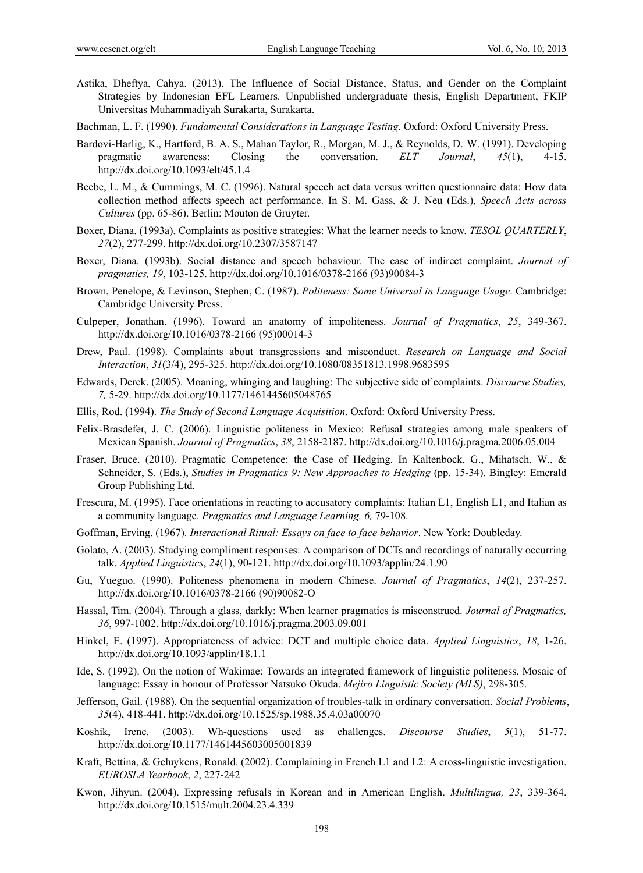- Astika, Dheftya, Cahya. (2013). The Influence of Social Distance, Status, and Gender on the Complaint Strategies by Indonesian EFL Learners. Unpublished undergraduate thesis, English Department, FKIP Universitas Muhammadiyah Surakarta, Surakarta.
- Bachman, L. F. (1990). *Fundamental Considerations in Language Testing*. Oxford: Oxford University Press.
- Bardovi-Harlig, K., Hartford, B. A. S., Mahan Taylor, R., Morgan, M. J., & Reynolds, D. W. (1991). Developing pragmatic awareness: Closing the conversation. *ELT Journal*, *45*(1), 4-15. http://dx.doi.org/10.1093/elt/45.1.4
- Beebe, L. M., & Cummings, M. C. (1996). Natural speech act data versus written questionnaire data: How data collection method affects speech act performance. In S. M. Gass, & J. Neu (Eds.), *Speech Acts across Cultures* (pp. 65-86). Berlin: Mouton de Gruyter.
- Boxer, Diana. (1993a). Complaints as positive strategies: What the learner needs to know. *TESOL QUARTERLY*, *27*(2), 277-299. http://dx.doi.org/10.2307/3587147
- Boxer, Diana. (1993b). Social distance and speech behaviour. The case of indirect complaint. *Journal of pragmatics, 19*, 103-125. http://dx.doi.org/10.1016/0378-2166 (93)90084-3
- Brown, Penelope, & Levinson, Stephen, C. (1987). *Politeness: Some Universal in Language Usage*. Cambridge: Cambridge University Press.
- Culpeper, Jonathan. (1996). Toward an anatomy of impoliteness. *Journal of Pragmatics*, *25*, 349-367. http://dx.doi.org/10.1016/0378-2166 (95)00014-3
- Drew, Paul. (1998). Complaints about transgressions and misconduct. *Research on Language and Social Interaction*, *31*(3/4), 295-325. http://dx.doi.org/10.1080/08351813.1998.9683595
- Edwards, Derek. (2005). Moaning, whinging and laughing: The subjective side of complaints. *Discourse Studies, 7,* 5-29. http://dx.doi.org/10.1177/1461445605048765
- Ellis, Rod. (1994). *The Study of Second Language Acquisition*. Oxford: Oxford University Press.
- Felix-Brasdefer, J. C. (2006). Linguistic politeness in Mexico: Refusal strategies among male speakers of Mexican Spanish. *Journal of Pragmatics*, *38*, 2158-2187. http://dx.doi.org/10.1016/j.pragma.2006.05.004
- Fraser, Bruce. (2010). Pragmatic Competence: the Case of Hedging. In Kaltenbock, G., Mihatsch, W., & Schneider, S. (Eds.), *Studies in Pragmatics 9: New Approaches to Hedging* (pp. 15-34). Bingley: Emerald Group Publishing Ltd.
- Frescura, M. (1995). Face orientations in reacting to accusatory complaints: Italian L1, English L1, and Italian as a community language. *Pragmatics and Language Learning, 6,* 79-108.
- Goffman, Erving. (1967). *Interactional Ritual: Essays on face to face behavior*. New York: Doubleday.
- Golato, A. (2003). Studying compliment responses: A comparison of DCTs and recordings of naturally occurring talk. *Applied Linguistics*, *24*(1), 90-121. http://dx.doi.org/10.1093/applin/24.1.90
- Gu, Yueguo. (1990). Politeness phenomena in modern Chinese. *Journal of Pragmatics*, *14*(2), 237-257. http://dx.doi.org/10.1016/0378-2166 (90)90082-O
- Hassal, Tim. (2004). Through a glass, darkly: When learner pragmatics is misconstrued. *Journal of Pragmatics, 36*, 997-1002. http://dx.doi.org/10.1016/j.pragma.2003.09.001
- Hinkel, E. (1997). Appropriateness of advice: DCT and multiple choice data. *Applied Linguistics*, *18*, 1-26. http://dx.doi.org/10.1093/applin/18.1.1
- Ide, S. (1992). On the notion of Wakimae: Towards an integrated framework of linguistic politeness. Mosaic of language: Essay in honour of Professor Natsuko Okuda. *Mejiro Linguistic Society (MLS)*, 298-305.
- Jefferson, Gail. (1988). On the sequential organization of troubles-talk in ordinary conversation. *Social Problems*, *35*(4), 418-441. http://dx.doi.org/10.1525/sp.1988.35.4.03a00070
- Koshik, Irene. (2003). Wh-questions used as challenges. *Discourse Studies*, *5*(1), 51-77. http://dx.doi.org/10.1177/1461445603005001839
- Kraft, Bettina, & Geluykens, Ronald. (2002). Complaining in French L1 and L2: A cross-linguistic investigation. *EUROSLA Yearbook*, *2*, 227-242
- Kwon, Jihyun. (2004). Expressing refusals in Korean and in American English. *Multilingua, 23*, 339-364. http://dx.doi.org/10.1515/mult.2004.23.4.339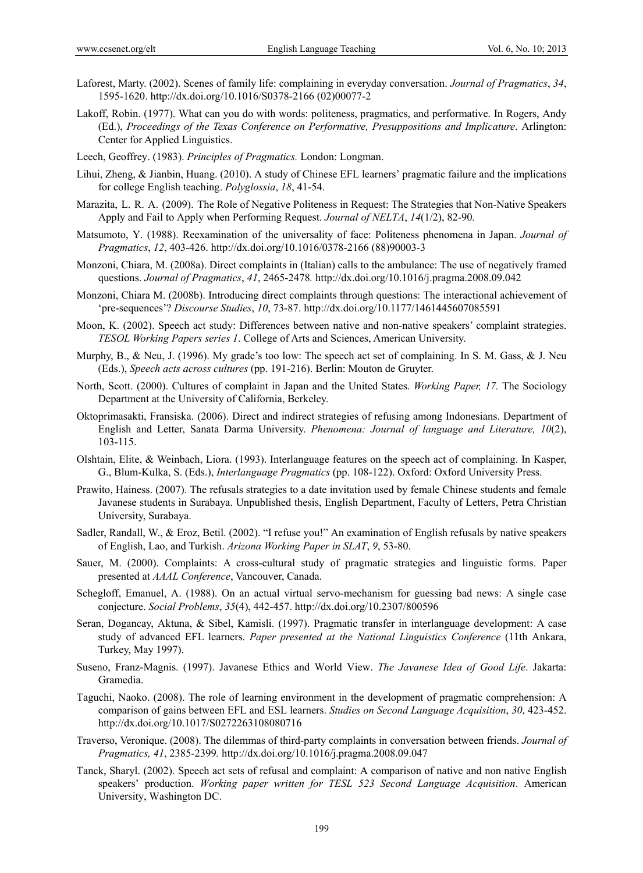- Laforest, Marty. (2002). Scenes of family life: complaining in everyday conversation. *Journal of Pragmatics*, *34*, 1595-1620. http://dx.doi.org/10.1016/S0378-2166 (02)00077-2
- Lakoff, Robin. (1977). What can you do with words: politeness, pragmatics, and performative. In Rogers, Andy (Ed.), *Proceedings of the Texas Conference on Performative, Presuppositions and Implicature*. Arlington: Center for Applied Linguistics.
- Leech, Geoffrey. (1983). *Principles of Pragmatics.* London: Longman.
- Lihui, Zheng, & Jianbin, Huang. (2010). A study of Chinese EFL learners' pragmatic failure and the implications for college English teaching. *Polyglossia*, *18*, 41-54.
- Marazita, L. R. A. (2009). The Role of Negative Politeness in Request: The Strategies that Non-Native Speakers Apply and Fail to Apply when Performing Request. *Journal of NELTA*, *14*(1/2), 82-90*.*
- Matsumoto, Y. (1988). Reexamination of the universality of face: Politeness phenomena in Japan. *Journal of Pragmatics*, *12*, 403-426. http://dx.doi.org/10.1016/0378-2166 (88)90003-3
- Monzoni, Chiara, M. (2008a). Direct complaints in (Italian) calls to the ambulance: The use of negatively framed questions. *Journal of Pragmatics*, *41*, 2465-2478*.* http://dx.doi.org/10.1016/j.pragma.2008.09.042
- Monzoni, Chiara M. (2008b). Introducing direct complaints through questions: The interactional achievement of 'pre-sequences'? *Discourse Studies*, *10*, 73-87. http://dx.doi.org/10.1177/1461445607085591
- Moon, K. (2002). Speech act study: Differences between native and non-native speakers' complaint strategies. *TESOL Working Papers series 1*. College of Arts and Sciences, American University.
- Murphy, B., & Neu, J. (1996). My grade's too low: The speech act set of complaining. In S. M. Gass, & J. Neu (Eds.), *Speech acts across cultures* (pp. 191-216). Berlin: Mouton de Gruyter.
- North, Scott. (2000). Cultures of complaint in Japan and the United States. *Working Paper, 17.* The Sociology Department at the University of California, Berkeley.
- Oktoprimasakti, Fransiska. (2006). Direct and indirect strategies of refusing among Indonesians. Department of English and Letter, Sanata Darma University. *Phenomena: Journal of language and Literature, 10*(2), 103-115.
- Olshtain, Elite, & Weinbach, Liora. (1993). Interlanguage features on the speech act of complaining. In Kasper, G., Blum-Kulka, S. (Eds.), *Interlanguage Pragmatics* (pp. 108-122). Oxford: Oxford University Press.
- Prawito, Hainess. (2007). The refusals strategies to a date invitation used by female Chinese students and female Javanese students in Surabaya. Unpublished thesis, English Department, Faculty of Letters, Petra Christian University, Surabaya.
- Sadler, Randall, W., & Eroz, Betil. (2002). "I refuse you!" An examination of English refusals by native speakers of English, Lao, and Turkish. *Arizona Working Paper in SLAT*, *9*, 53-80.
- Sauer, M. (2000). Complaints: A cross-cultural study of pragmatic strategies and linguistic forms. Paper presented at *AAAL Conference*, Vancouver, Canada.
- Schegloff, Emanuel, A. (1988). On an actual virtual servo-mechanism for guessing bad news: A single case conjecture. *Social Problems*, *35*(4), 442-457. http://dx.doi.org/10.2307/800596
- Seran, Dogancay, Aktuna, & Sibel, Kamisli. (1997). Pragmatic transfer in interlanguage development: A case study of advanced EFL learners. *Paper presented at the National Linguistics Conference* (11th Ankara, Turkey, May 1997).
- Suseno, Franz-Magnis. (1997). Javanese Ethics and World View. *The Javanese Idea of Good Life*. Jakarta: Gramedia.
- Taguchi, Naoko. (2008). The role of learning environment in the development of pragmatic comprehension: A comparison of gains between EFL and ESL learners. *Studies on Second Language Acquisition*, *30*, 423-452. http://dx.doi.org/10.1017/S0272263108080716
- Traverso, Veronique. (2008). The dilemmas of third-party complaints in conversation between friends. *Journal of Pragmatics, 41*, 2385-2399*.* http://dx.doi.org/10.1016/j.pragma.2008.09.047
- Tanck, Sharyl. (2002). Speech act sets of refusal and complaint: A comparison of native and non native English speakers' production. *Working paper written for TESL 523 Second Language Acquisition*. American University, Washington DC.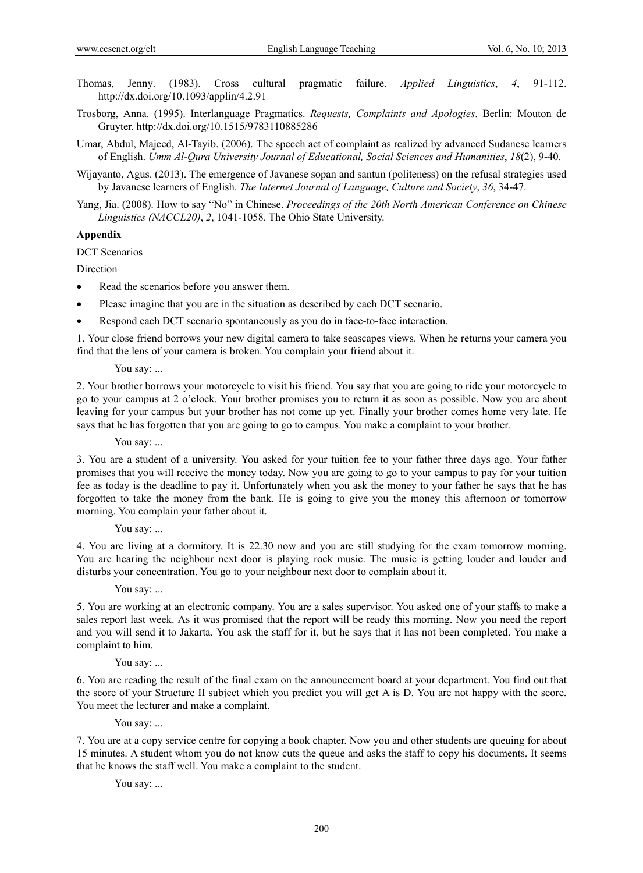- Thomas, Jenny. (1983). Cross cultural pragmatic failure. *Applied Linguistics*, *4*, 91-112. http://dx.doi.org/10.1093/applin/4.2.91
- Trosborg, Anna. (1995). Interlanguage Pragmatics. *Requests, Complaints and Apologies*. Berlin: Mouton de Gruyter. http://dx.doi.org/10.1515/9783110885286
- Umar, Abdul, Majeed, Al-Tayib. (2006). The speech act of complaint as realized by advanced Sudanese learners of English. *Umm Al-Qura University Journal of Educational, Social Sciences and Humanities*, *18*(2), 9-40.
- Wijayanto, Agus. (2013). The emergence of Javanese sopan and santun (politeness) on the refusal strategies used by Javanese learners of English. *The Internet Journal of Language, Culture and Society*, *36*, 34-47.
- Yang, Jia. (2008). How to say "No" in Chinese. *Proceedings of the 20th North American Conference on Chinese Linguistics (NACCL20)*, *2*, 1041-1058. The Ohio State University.

### **Appendix**

DCT Scenarios

Direction

- Read the scenarios before you answer them.
- Please imagine that you are in the situation as described by each DCT scenario.
- Respond each DCT scenario spontaneously as you do in face-to-face interaction.

1. Your close friend borrows your new digital camera to take seascapes views. When he returns your camera you find that the lens of your camera is broken. You complain your friend about it.

#### You say: ...

2. Your brother borrows your motorcycle to visit his friend. You say that you are going to ride your motorcycle to go to your campus at 2 o'clock. Your brother promises you to return it as soon as possible. Now you are about leaving for your campus but your brother has not come up yet. Finally your brother comes home very late. He says that he has forgotten that you are going to go to campus. You make a complaint to your brother.

You say: ...

3. You are a student of a university. You asked for your tuition fee to your father three days ago. Your father promises that you will receive the money today. Now you are going to go to your campus to pay for your tuition fee as today is the deadline to pay it. Unfortunately when you ask the money to your father he says that he has forgotten to take the money from the bank. He is going to give you the money this afternoon or tomorrow morning. You complain your father about it.

You say: ...

4. You are living at a dormitory. It is 22.30 now and you are still studying for the exam tomorrow morning. You are hearing the neighbour next door is playing rock music. The music is getting louder and louder and disturbs your concentration. You go to your neighbour next door to complain about it.

#### You say: ...

5. You are working at an electronic company. You are a sales supervisor. You asked one of your staffs to make a sales report last week. As it was promised that the report will be ready this morning. Now you need the report and you will send it to Jakarta. You ask the staff for it, but he says that it has not been completed. You make a complaint to him.

#### You say: ...

6. You are reading the result of the final exam on the announcement board at your department. You find out that the score of your Structure II subject which you predict you will get A is D. You are not happy with the score. You meet the lecturer and make a complaint.

You say: ...

7. You are at a copy service centre for copying a book chapter. Now you and other students are queuing for about 15 minutes. A student whom you do not know cuts the queue and asks the staff to copy his documents. It seems that he knows the staff well. You make a complaint to the student.

You say: ...